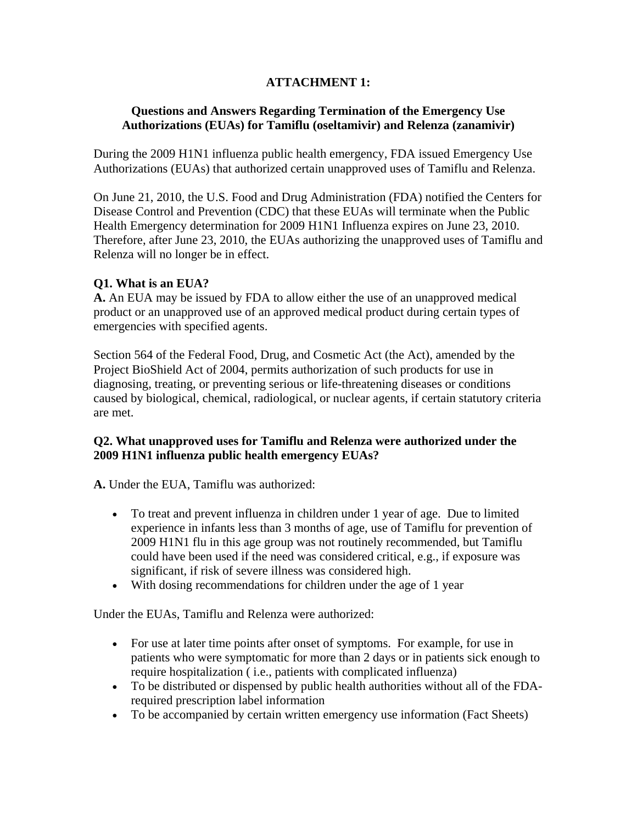# **ATTACHMENT 1:**

## **Questions and Answers Regarding Termination of the Emergency Use Authorizations (EUAs) for Tamiflu (oseltamivir) and Relenza (zanamivir)**

During the 2009 H1N1 influenza public health emergency, FDA issued Emergency Use Authorizations (EUAs) that authorized certain unapproved uses of Tamiflu and Relenza.

On June 21, 2010, the U.S. Food and Drug Administration (FDA) notified the Centers for Disease Control and Prevention (CDC) that these EUAs will terminate when the Public Health Emergency determination for 2009 H1N1 Influenza expires on June 23, 2010. Therefore, after June 23, 2010, the EUAs authorizing the unapproved uses of Tamiflu and Relenza will no longer be in effect.

## **Q1. What is an EUA?**

**A.** An EUA may be issued by FDA to allow either the use of an unapproved medical product or an unapproved use of an approved medical product during certain types of emergencies with specified agents.

Section 564 of the Federal Food, Drug, and Cosmetic Act (the Act), amended by the Project BioShield Act of 2004, permits authorization of such products for use in diagnosing, treating, or preventing serious or life-threatening diseases or conditions caused by biological, chemical, radiological, or nuclear agents, if certain statutory criteria are met.

## **Q2. What unapproved uses for Tamiflu and Relenza were authorized under the 2009 H1N1 influenza public health emergency EUAs?**

**A.** Under the EUA, Tamiflu was authorized:

- To treat and prevent influenza in children under 1 year of age. Due to limited experience in infants less than 3 months of age, use of Tamiflu for prevention of 2009 H1N1 flu in this age group was not routinely recommended, but Tamiflu could have been used if the need was considered critical, e.g., if exposure was significant, if risk of severe illness was considered high.
- With dosing recommendations for children under the age of 1 year

Under the EUAs, Tamiflu and Relenza were authorized:

- For use at later time points after onset of symptoms. For example, for use in patients who were symptomatic for more than 2 days or in patients sick enough to require hospitalization ( i.e., patients with complicated influenza)
- To be distributed or dispensed by public health authorities without all of the FDArequired prescription label information
- To be accompanied by certain written emergency use information (Fact Sheets)